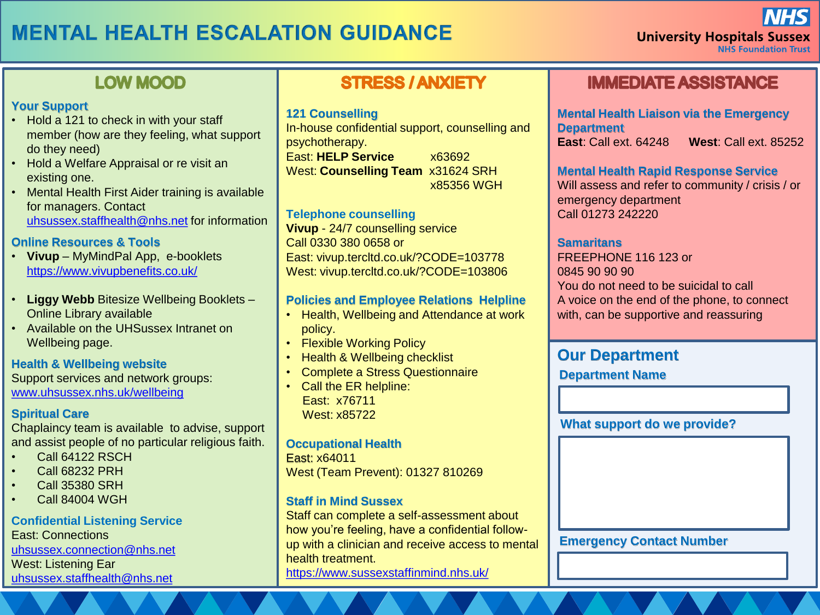## **MENTAL HEALTH ESCALATION GUIDANCE**

## **LOW MOOD**

#### **Your Support**

- Hold a 121 to check in with your staff member (how are they feeling, what support do they need)
- Hold a Welfare Appraisal or re visit an existing one.
- Mental Health First Aider training is available for managers. Contact [uhsussex.staffhealth@nhs.net](mailto:uhsussex.staffhealth@nhs.net) for information

#### **Online Resources & Tools**

- **Vivup** MyMindPal App, e-booklets <https://www.vivupbenefits.co.uk/>
- **Liggy Webb** Bitesize Wellbeing Booklets Online Library available
- Available on the UHSussex Intranet on Wellbeing page.

#### **Health & Wellbeing website**

Support services and network groups: [www.uhsussex.nhs.uk/wellbeing](http://www.uhsussex.nhs.uk/wellbeing)

#### **Spiritual Care**

Chaplaincy team is available to advise, support and assist people of no particular religious faith.

- Call 64122 RSCH
- Call 68232 PRH
- Call 35380 SRH
- Call 84004 WGH

#### **Confidential Listening Service**

East: Connections [uhsussex.connection@nhs.net](mailto:mailtomailtouhsussex.connection@nhs.net) West: Listening Ear [uhsussex.staffhealth@nhs.net](mailto:uhsussex.staffhealth@nhs.net)

## **STRESS / ANXIETY**

#### **121 Counselling**

In-house confidential support, counselling and psychotherapy. East: **HELP Service** x63692 West: **Counselling Team** x31624 SRH x85356 WGH

#### **Telephone counselling**

**Vivup** - 24/7 counselling service Call 0330 380 0658 or East: vivup.tercltd.co.uk/?CODE=103778 West: vivup.tercltd.co.uk/?CODE=103806

#### **Policies and Employee Relations Helpline**

- Health, Wellbeing and Attendance at work policy.
- Flexible Working Policy
- Health & Wellbeing checklist
- Complete a Stress Questionnaire
- Call the ER helpline: East: x76711 West: x85722

#### **Occupational Health**

East: x64011 West (Team Prevent): 01327 810269

#### **Staff in Mind Sussex**

Staff can complete a self-assessment about how you're feeling, have a confidential followup with a clinician and receive access to mental health treatment. <https://www.sussexstaffinmind.nhs.uk/>

## **IMMEDIATE ASSISTANCE**

**Mental Health Liaison via the Emergency Department East**: Call ext. 64248 **West**: Call ext. 85252

#### **Mental Health Rapid Response Service**

Will assess and refer to community / crisis / or emergency department Call 01273 242220

#### **Samaritans**

FREEPHONE 116 123 or 0845 90 90 90 You do not need to be suicidal to call A voice on the end of the phone, to connect with, can be supportive and reassuring

#### **Our Department**

**Department Name**

#### **What support do we provide?**

**Emergency Contact Number**